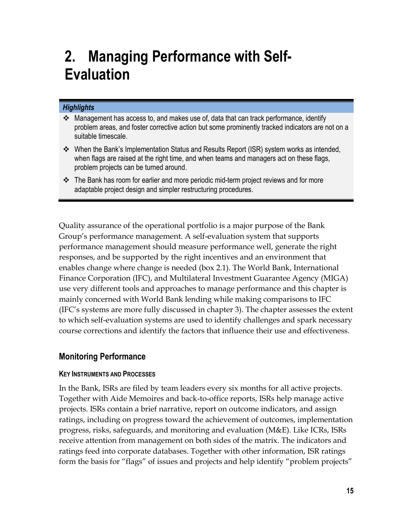# **2. Managing Performance with Self-Evaluation**

## *Highlights*

- Management has access to, and makes use of, data that can track performance, identify problem areas, and foster corrective action but some prominently tracked indicators are not on a suitable timescale.
- When the Bank's Implementation Status and Results Report (ISR) system works as intended, when flags are raised at the right time, and when teams and managers act on these flags, problem projects can be turned around.
- The Bank has room for earlier and more periodic mid-term project reviews and for more adaptable project design and simpler restructuring procedures.

Quality assurance of the operational portfolio is a major purpose of the Bank Group's performance management. A self-evaluation system that supports performance management should measure performance well, generate the right responses, and be supported by the right incentives and an environment that enables change where change is needed (box 2.1). The World Bank, International Finance Corporation (IFC), and Multilateral Investment Guarantee Agency (MIGA) use very different tools and approaches to manage performance and this chapter is mainly concerned with World Bank lending while making comparisons to IFC (IFC's systems are more fully discussed in chapter 3). The chapter assesses the extent to which self-evaluation systems are used to identify challenges and spark necessary course corrections and identify the factors that influence their use and effectiveness.

# **Monitoring Performance**

#### **KEY INSTRUMENTS AND PROCESSES**

In the Bank, ISRs are filed by team leaders every six months for all active projects. Together with Aide Memoires and back-to-office reports, ISRs help manage active projects. ISRs contain a brief narrative, report on outcome indicators, and assign ratings, including on progress toward the achievement of outcomes, implementation progress, risks, safeguards, and monitoring and evaluation (M&E). Like ICRs, ISRs receive attention from management on both sides of the matrix. The indicators and ratings feed into corporate databases. Together with other information, ISR ratings form the basis for "flags" of issues and projects and help identify "problem projects"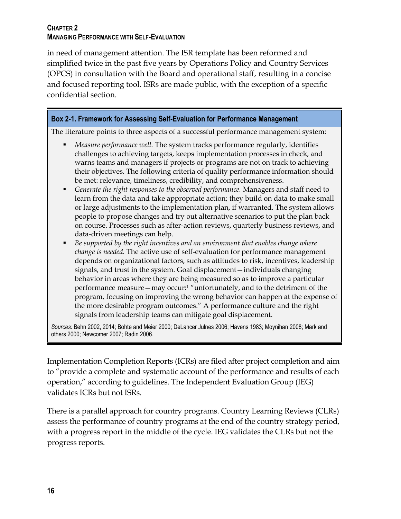in need of management attention. The ISR template has been reformed and simplified twice in the past five years by Operations Policy and Country Services (OPCS) in consultation with the Board and operational staff, resulting in a concise and focused reporting tool. ISRs are made public, with the exception of a specific confidential section.

## **Box 2-1. Framework for Assessing Self-Evaluation for Performance Management**

The literature points to three aspects of a successful performance management system:

- *Measure performance well.* The system tracks performance regularly, identifies challenges to achieving targets, keeps implementation processes in check, and warns teams and managers if projects or programs are not on track to achieving their objectives. The following criteria of quality performance information should be met: relevance, timeliness, credibility, and comprehensiveness.
- *Generate the right responses to the observed performance.* Managers and staff need to learn from the data and take appropriate action; they build on data to make small or large adjustments to the implementation plan, if warranted. The system allows people to propose changes and try out alternative scenarios to put the plan back on course. Processes such as after-action reviews, quarterly business reviews, and data-driven meetings can help.
- *Be supported by the right incentives and an environment that enables change where change is needed.* The active use of self-evaluation for performance management depends on organizational factors, such as attitudes to risk, incentives, leadership signals, and trust in the system. Goal displacement—individuals changing behavior in areas where they are being measured so as to improve a particular performance measure—may occur:<sup>1</sup> "unfortunately, and to the detriment of the program, focusing on improving the wrong behavior can happen at the expense of the more desirable program outcomes." A performance culture and the right signals from leadership teams can mitigate goal displacement.

*Sources:* Behn 2002, 2014; Bohte and Meier 2000; DeLancer Julnes 2006; Havens 1983; Moynihan 2008; Mark and others 2000; Newcomer 2007; Radin 2006.

Implementation Completion Reports (ICRs) are filed after project completion and aim to "provide a complete and systematic account of the performance and results of each operation," according to guidelines. The Independent Evaluation Group (IEG) validates ICRs but not ISRs.

There is a parallel approach for country programs. Country Learning Reviews (CLRs) assess the performance of country programs at the end of the country strategy period, with a progress report in the middle of the cycle. IEG validates the CLRs but not the progress reports.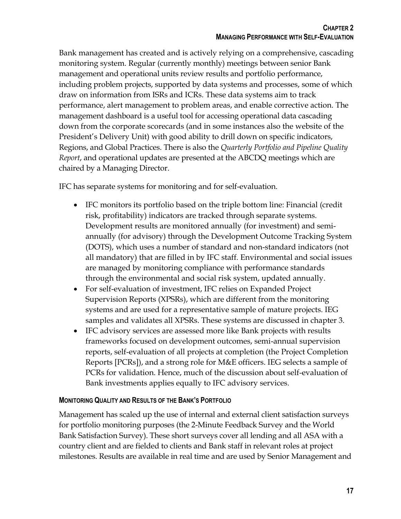Bank management has created and is actively relying on a comprehensive, cascading monitoring system. Regular (currently monthly) meetings between senior Bank management and operational units review results and portfolio performance, including problem projects, supported by data systems and processes, some of which draw on information from ISRs and ICRs. These data systems aim to track performance, alert management to problem areas, and enable corrective action. The management dashboard is a useful tool for accessing operational data cascading down from the corporate scorecards (and in some instances also the website of the President's Delivery Unit) with good ability to drill down on specific indicators, Regions, and Global Practices. There is also the *Quarterly Portfolio and Pipeline Quality Report*, and operational updates are presented at the ABCDQ meetings which are chaired by a Managing Director.

IFC has separate systems for monitoring and for self-evaluation.

- IFC monitors its portfolio based on the triple bottom line: Financial (credit risk, profitability) indicators are tracked through separate systems. Development results are monitored annually (for investment) and semiannually (for advisory) through the Development Outcome Tracking System (DOTS), which uses a number of standard and non-standard indicators (not all mandatory) that are filled in by IFC staff. Environmental and social issues are managed by monitoring compliance with performance standards through the environmental and social risk system, updated annually.
- For self-evaluation of investment, IFC relies on Expanded Project Supervision Reports (XPSRs), which are different from the monitoring systems and are used for a representative sample of mature projects. IEG samples and validates all XPSRs. These systems are discussed in chapter 3.
- IFC advisory services are assessed more like Bank projects with results frameworks focused on development outcomes, semi-annual supervision reports, self-evaluation of all projects at completion (the Project Completion Reports [PCRs]), and a strong role for M&E officers. IEG selects a sample of PCRs for validation. Hence, much of the discussion about self-evaluation of Bank investments applies equally to IFC advisory services.

# **MONITORING QUALITY AND RESULTS OF THE BANK'S PORTFOLIO**

Management has scaled up the use of internal and external client satisfaction surveys for portfolio monitoring purposes (the 2-Minute Feedback Survey and the World Bank Satisfaction Survey). These short surveys cover all lending and all ASA with a country client and are fielded to clients and Bank staff in relevant roles at project milestones. Results are available in real time and are used by Senior Management and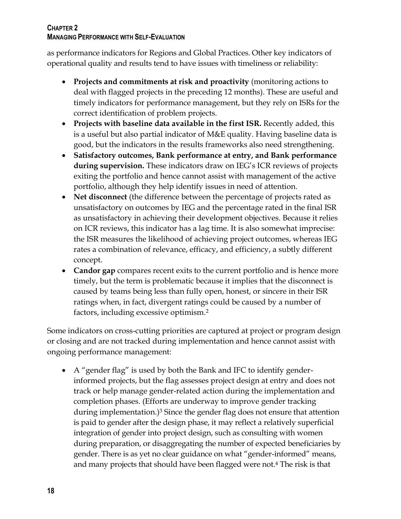as performance indicators for Regions and Global Practices. Other key indicators of operational quality and results tend to have issues with timeliness or reliability:

- **Projects and commitments at risk and proactivity** (monitoring actions to deal with flagged projects in the preceding 12 months). These are useful and timely indicators for performance management, but they rely on ISRs for the correct identification of problem projects.
- **Projects with baseline data available in the first ISR.** Recently added, this is a useful but also partial indicator of M&E quality. Having baseline data is good, but the indicators in the results frameworks also need strengthening.
- **Satisfactory outcomes, Bank performance at entry, and Bank performance during supervision.** These indicators draw on IEG's ICR reviews of projects exiting the portfolio and hence cannot assist with management of the active portfolio, although they help identify issues in need of attention.
- **Net disconnect** (the difference between the percentage of projects rated as unsatisfactory on outcomes by IEG and the percentage rated in the final ISR as unsatisfactory in achieving their development objectives. Because it relies on ICR reviews, this indicator has a lag time. It is also somewhat imprecise: the ISR measures the likelihood of achieving project outcomes, whereas IEG rates a combination of relevance, efficacy, and efficiency, a subtly different concept.
- **Candor gap** compares recent exits to the current portfolio and is hence more timely, but the term is problematic because it implies that the disconnect is caused by teams being less than fully open, honest, or sincere in their ISR ratings when, in fact, divergent ratings could be caused by a number of factors, including excessive optimism. 2

Some indicators on cross-cutting priorities are captured at project or program design or closing and are not tracked during implementation and hence cannot assist with ongoing performance management:

 A "gender flag" is used by both the Bank and IFC to identify genderinformed projects, but the flag assesses project design at entry and does not track or help manage gender-related action during the implementation and completion phases. (Efforts are underway to improve gender tracking during implementation.)<sup>3</sup> Since the gender flag does not ensure that attention is paid to gender after the design phase, it may reflect a relatively superficial integration of gender into project design, such as consulting with women during preparation, or disaggregating the number of expected beneficiaries by gender. There is as yet no clear guidance on what "gender-informed" means, and many projects that should have been flagged were not.<sup>4</sup> The risk is that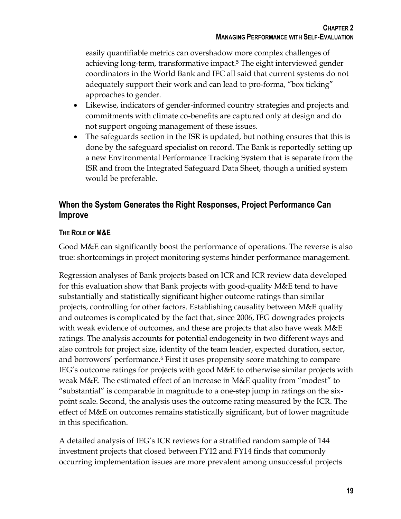easily quantifiable metrics can overshadow more complex challenges of achieving long-term, transformative impact.<sup>5</sup> The eight interviewed gender coordinators in the World Bank and IFC all said that current systems do not adequately support their work and can lead to pro-forma, "box ticking" approaches to gender.

- Likewise, indicators of gender-informed country strategies and projects and commitments with climate co-benefits are captured only at design and do not support ongoing management of these issues.
- The safeguards section in the ISR is updated, but nothing ensures that this is done by the safeguard specialist on record. The Bank is reportedly setting up a new Environmental Performance Tracking System that is separate from the ISR and from the Integrated Safeguard Data Sheet, though a unified system would be preferable.

# **When the System Generates the Right Responses, Project Performance Can Improve**

# **THE ROLE OF M&E**

Good M&E can significantly boost the performance of operations. The reverse is also true: shortcomings in project monitoring systems hinder performance management.

Regression analyses of Bank projects based on ICR and ICR review data developed for this evaluation show that Bank projects with good-quality M&E tend to have substantially and statistically significant higher outcome ratings than similar projects, controlling for other factors. Establishing causality between M&E quality and outcomes is complicated by the fact that, since 2006, IEG downgrades projects with weak evidence of outcomes, and these are projects that also have weak M&E ratings. The analysis accounts for potential endogeneity in two different ways and also controls for project size, identity of the team leader, expected duration, sector, and borrowers' performance.<sup>6</sup> First it uses propensity score matching to compare IEG's outcome ratings for projects with good M&E to otherwise similar projects with weak M&E. The estimated effect of an increase in M&E quality from "modest" to "substantial" is comparable in magnitude to a one-step jump in ratings on the sixpoint scale. Second, the analysis uses the outcome rating measured by the ICR. The effect of M&E on outcomes remains statistically significant, but of lower magnitude in this specification.

A detailed analysis of IEG's ICR reviews for a stratified random sample of 144 investment projects that closed between FY12 and FY14 finds that commonly occurring implementation issues are more prevalent among unsuccessful projects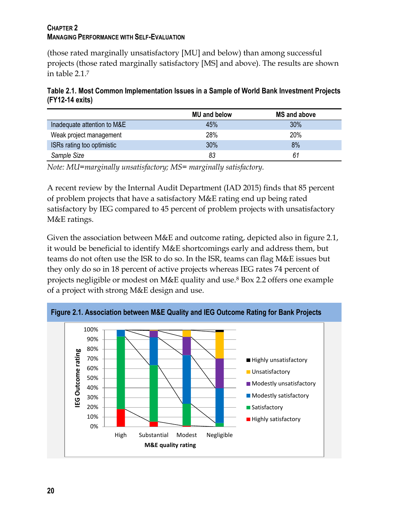(those rated marginally unsatisfactory [MU] and below) than among successful projects (those rated marginally satisfactory [MS] and above). The results are shown in table 2.1. 7

**Table 2.1. Most Common Implementation Issues in a Sample of World Bank Investment Projects (FY12-14 exits)**

|                             | <b>MU and below</b> | <b>MS and above</b> |
|-----------------------------|---------------------|---------------------|
| Inadequate attention to M&E | 45%                 | 30%                 |
| Weak project management     | 28%                 | 20%                 |
| ISRs rating too optimistic  | 30%                 | 8%                  |
| Sample Size                 | 83                  | 61                  |

*Note: MU=marginally unsatisfactory; MS= marginally satisfactory.*

A recent review by the Internal Audit Department (IAD 2015) finds that 85 percent of problem projects that have a satisfactory M&E rating end up being rated satisfactory by IEG compared to 45 percent of problem projects with unsatisfactory M&E ratings.

Given the association between M&E and outcome rating, depicted also in figure 2.1, it would be beneficial to identify M&E shortcomings early and address them, but teams do not often use the ISR to do so. In the ISR, teams can flag M&E issues but they only do so in 18 percent of active projects whereas IEG rates 74 percent of projects negligible or modest on M&E quality and use.<sup>8</sup> Box 2.2 offers one example of a project with strong M&E design and use.



**Figure 2.1. Association between M&E Quality and IEG Outcome Rating for Bank Projects**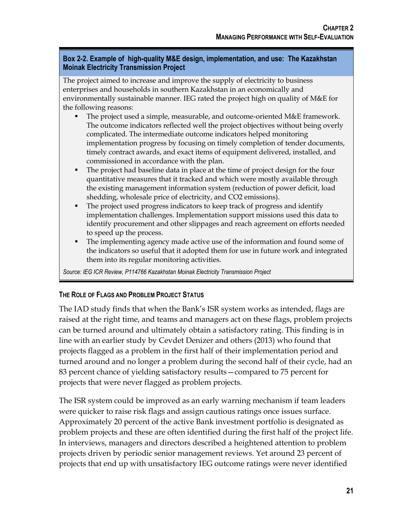### **Box 2-2. Example of high-quality M&E design, implementation, and use: The Kazakhstan Moinak Electricity Transmission Project**

The project aimed to increase and improve the supply of electricity to business enterprises and households in southern Kazakhstan in an economically and environmentally sustainable manner. IEG rated the project high on quality of M&E for the following reasons:

- The project used a simple, measurable, and outcome-oriented M&E framework. The outcome indicators reflected well the project objectives without being overly complicated. The intermediate outcome indicators helped monitoring implementation progress by focusing on timely completion of tender documents, timely contract awards, and exact items of equipment delivered, installed, and commissioned in accordance with the plan.
- The project had baseline data in place at the time of project design for the four quantitative measures that it tracked and which were mostly available through the existing management information system (reduction of power deficit, load shedding, wholesale price of electricity, and CO2 emissions).
- The project used progress indicators to keep track of progress and identify implementation challenges. Implementation support missions used this data to identify procurement and other slippages and reach agreement on efforts needed to speed up the process.
- The implementing agency made active use of the information and found some of the indicators so useful that it adopted them for use in future work and integrated them into its regular monitoring activities.

*Source: IEG ICR Review, P114766 Kazakhstan Moinak Electricity Transmission Project*

# **THE ROLE OF FLAGS AND PROBLEM PROJECT STATUS**

The IAD study finds that when the Bank's ISR system works as intended, flags are raised at the right time, and teams and managers act on these flags, problem projects can be turned around and ultimately obtain a satisfactory rating. This finding is in line with an earlier study by Cevdet Denizer and others (2013) who found that projects flagged as a problem in the first half of their implementation period and turned around and no longer a problem during the second half of their cycle, had an 83 percent chance of yielding satisfactory results—compared to 75 percent for projects that were never flagged as problem projects.

The ISR system could be improved as an early warning mechanism if team leaders were quicker to raise risk flags and assign cautious ratings once issues surface. Approximately 20 percent of the active Bank investment portfolio is designated as problem projects and these are often identified during the first half of the project life. In interviews, managers and directors described a heightened attention to problem projects driven by periodic senior management reviews. Yet around 23 percent of projects that end up with unsatisfactory IEG outcome ratings were never identified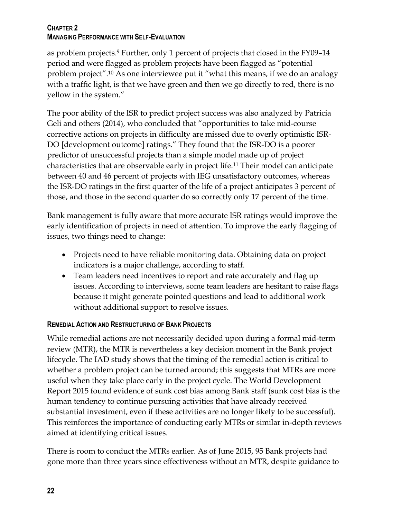as problem projects. <sup>9</sup> Further, only 1 percent of projects that closed in the FY09–14 period and were flagged as problem projects have been flagged as "potential problem project".<sup>10</sup> As one interviewee put it "what this means, if we do an analogy with a traffic light, is that we have green and then we go directly to red, there is no yellow in the system."

The poor ability of the ISR to predict project success was also analyzed by Patricia Geli and others (2014), who concluded that "opportunities to take mid-course corrective actions on projects in difficulty are missed due to overly optimistic ISR-DO [development outcome] ratings." They found that the ISR-DO is a poorer predictor of unsuccessful projects than a simple model made up of project characteristics that are observable early in project life.<sup>11</sup> Their model can anticipate between 40 and 46 percent of projects with IEG unsatisfactory outcomes, whereas the ISR-DO ratings in the first quarter of the life of a project anticipates 3 percent of those, and those in the second quarter do so correctly only 17 percent of the time.

Bank management is fully aware that more accurate ISR ratings would improve the early identification of projects in need of attention. To improve the early flagging of issues, two things need to change:

- Projects need to have reliable monitoring data. Obtaining data on project indicators is a major challenge, according to staff.
- Team leaders need incentives to report and rate accurately and flag up issues. According to interviews, some team leaders are hesitant to raise flags because it might generate pointed questions and lead to additional work without additional support to resolve issues.

# **REMEDIAL ACTION AND RESTRUCTURING OF BANK PROJECTS**

While remedial actions are not necessarily decided upon during a formal mid-term review (MTR), the MTR is nevertheless a key decision moment in the Bank project lifecycle. The IAD study shows that the timing of the remedial action is critical to whether a problem project can be turned around; this suggests that MTRs are more useful when they take place early in the project cycle. The World Development Report 2015 found evidence of sunk cost bias among Bank staff (sunk cost bias is the human tendency to continue pursuing activities that have already received substantial investment, even if these activities are no longer likely to be successful). This reinforces the importance of conducting early MTRs or similar in-depth reviews aimed at identifying critical issues.

There is room to conduct the MTRs earlier. As of June 2015, 95 Bank projects had gone more than three years since effectiveness without an MTR, despite guidance to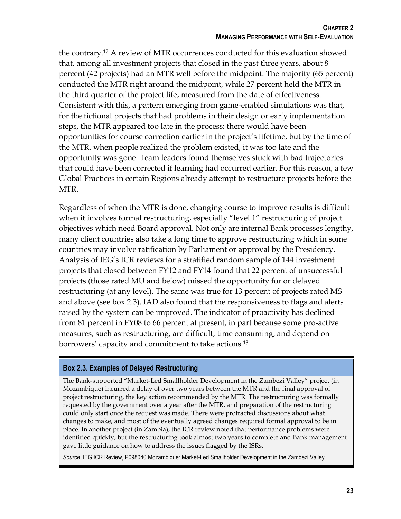the contrary.<sup>12</sup> A review of MTR occurrences conducted for this evaluation showed that, among all investment projects that closed in the past three years, about 8 percent (42 projects) had an MTR well before the midpoint. The majority (65 percent) conducted the MTR right around the midpoint, while 27 percent held the MTR in the third quarter of the project life, measured from the date of effectiveness. Consistent with this, a pattern emerging from game-enabled simulations was that, for the fictional projects that had problems in their design or early implementation steps, the MTR appeared too late in the process: there would have been opportunities for course correction earlier in the project's lifetime, but by the time of the MTR, when people realized the problem existed, it was too late and the opportunity was gone. Team leaders found themselves stuck with bad trajectories that could have been corrected if learning had occurred earlier. For this reason, a few Global Practices in certain Regions already attempt to restructure projects before the MTR.

Regardless of when the MTR is done, changing course to improve results is difficult when it involves formal restructuring, especially "level 1" restructuring of project objectives which need Board approval. Not only are internal Bank processes lengthy, many client countries also take a long time to approve restructuring which in some countries may involve ratification by Parliament or approval by the Presidency. Analysis of IEG's ICR reviews for a stratified random sample of 144 investment projects that closed between FY12 and FY14 found that 22 percent of unsuccessful projects (those rated MU and below) missed the opportunity for or delayed restructuring (at any level). The same was true for 13 percent of projects rated MS and above (see box 2.3). IAD also found that the responsiveness to flags and alerts raised by the system can be improved. The indicator of proactivity has declined from 81 percent in FY08 to 66 percent at present, in part because some pro-active measures, such as restructuring, are difficult, time consuming, and depend on borrowers' capacity and commitment to take actions. 13

#### **Box 2.3. Examples of Delayed Restructuring**

The Bank-supported "Market-Led Smallholder Development in the Zambezi Valley" project (in Mozambique) incurred a delay of over two years between the MTR and the final approval of project restructuring, the key action recommended by the MTR. The restructuring was formally requested by the government over a year after the MTR, and preparation of the restructuring could only start once the request was made. There were protracted discussions about what changes to make, and most of the eventually agreed changes required formal approval to be in place. In another project (in Zambia), the ICR review noted that performance problems were identified quickly, but the restructuring took almost two years to complete and Bank management gave little guidance on how to address the issues flagged by the ISRs.

*Source:* IEG ICR Review, P098040 Mozambique: Market-Led Smallholder Development in the Zambezi Valley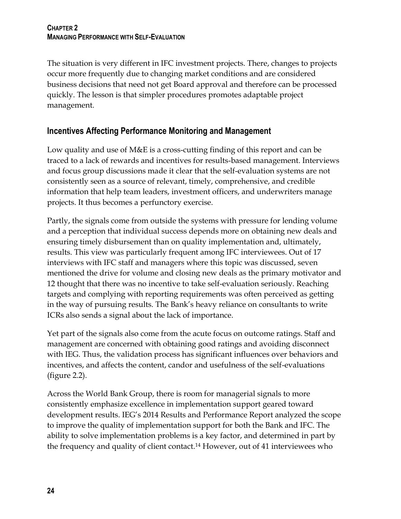The situation is very different in IFC investment projects. There, changes to projects occur more frequently due to changing market conditions and are considered business decisions that need not get Board approval and therefore can be processed quickly. The lesson is that simpler procedures promotes adaptable project management.

# **Incentives Affecting Performance Monitoring and Management**

Low quality and use of M&E is a cross-cutting finding of this report and can be traced to a lack of rewards and incentives for results-based management. Interviews and focus group discussions made it clear that the self-evaluation systems are not consistently seen as a source of relevant, timely, comprehensive, and credible information that help team leaders, investment officers, and underwriters manage projects. It thus becomes a perfunctory exercise.

Partly, the signals come from outside the systems with pressure for lending volume and a perception that individual success depends more on obtaining new deals and ensuring timely disbursement than on quality implementation and, ultimately, results. This view was particularly frequent among IFC interviewees. Out of 17 interviews with IFC staff and managers where this topic was discussed, seven mentioned the drive for volume and closing new deals as the primary motivator and 12 thought that there was no incentive to take self-evaluation seriously. Reaching targets and complying with reporting requirements was often perceived as getting in the way of pursuing results. The Bank's heavy reliance on consultants to write ICRs also sends a signal about the lack of importance.

Yet part of the signals also come from the acute focus on outcome ratings. Staff and management are concerned with obtaining good ratings and avoiding disconnect with IEG. Thus, the validation process has significant influences over behaviors and incentives, and affects the content, candor and usefulness of the self-evaluations (figure 2.2).

Across the World Bank Group, there is room for managerial signals to more consistently emphasize excellence in implementation support geared toward development results. IEG's 2014 Results and Performance Report analyzed the scope to improve the quality of implementation support for both the Bank and IFC. The ability to solve implementation problems is a key factor, and determined in part by the frequency and quality of client contact.<sup>14</sup> However, out of 41 interviewees who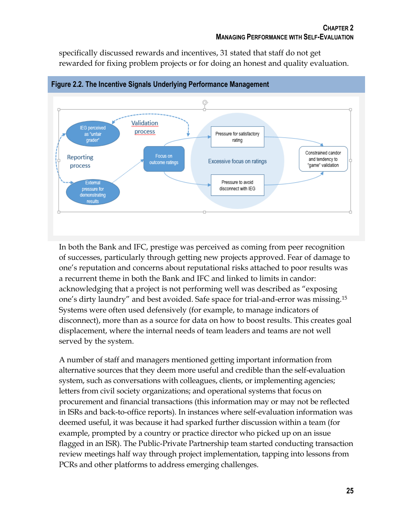specifically discussed rewards and incentives, 31 stated that staff do not get rewarded for fixing problem projects or for doing an honest and quality evaluation.



**Figure 2.2. The Incentive Signals Underlying Performance Management**

In both the Bank and IFC, prestige was perceived as coming from peer recognition of successes, particularly through getting new projects approved. Fear of damage to one's reputation and concerns about reputational risks attached to poor results was a recurrent theme in both the Bank and IFC and linked to limits in candor: acknowledging that a project is not performing well was described as "exposing one's dirty laundry" and best avoided. Safe space for trial-and-error was missing.<sup>15</sup> Systems were often used defensively (for example, to manage indicators of disconnect), more than as a source for data on how to boost results. This creates goal displacement, where the internal needs of team leaders and teams are not well served by the system.

A number of staff and managers mentioned getting important information from alternative sources that they deem more useful and credible than the self-evaluation system, such as conversations with colleagues, clients, or implementing agencies; letters from civil society organizations; and operational systems that focus on procurement and financial transactions (this information may or may not be reflected in ISRs and back-to-office reports). In instances where self-evaluation information was deemed useful, it was because it had sparked further discussion within a team (for example, prompted by a country or practice director who picked up on an issue flagged in an ISR). The Public-Private Partnership team started conducting transaction review meetings half way through project implementation, tapping into lessons from PCRs and other platforms to address emerging challenges.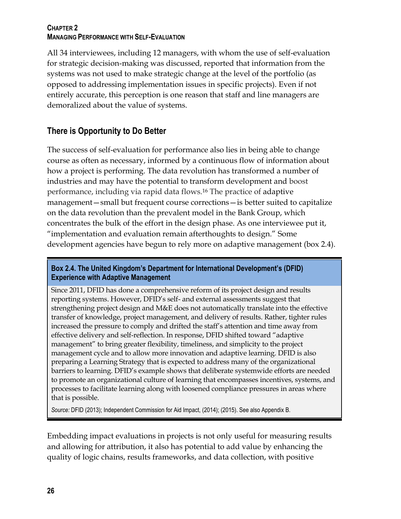All 34 interviewees, including 12 managers, with whom the use of self-evaluation for strategic decision-making was discussed, reported that information from the systems was not used to make strategic change at the level of the portfolio (as opposed to addressing implementation issues in specific projects). Even if not entirely accurate, this perception is one reason that staff and line managers are demoralized about the value of systems.

# **There is Opportunity to Do Better**

The success of self-evaluation for performance also lies in being able to change course as often as necessary, informed by a continuous flow of information about how a project is performing. The data revolution has transformed a number of industries and may have the potential to transform development and boost performance, including via rapid data flows.<sup>16</sup> The practice of adaptive management—small but frequent course corrections—is better suited to capitalize on the data revolution than the prevalent model in the Bank Group, which concentrates the bulk of the effort in the design phase. As one interviewee put it, "implementation and evaluation remain afterthoughts to design." Some development agencies have begun to rely more on adaptive management (box 2.4).

## **Box 2.4. The United Kingdom's Department for International Development's (DFID) Experience with Adaptive Management**

Since 2011, DFID has done a comprehensive reform of its project design and results reporting systems. However, DFID's self- and external assessments suggest that strengthening project design and M&E does not automatically translate into the effective transfer of knowledge, project management, and delivery of results. Rather, tighter rules increased the pressure to comply and drifted the staff's attention and time away from effective delivery and self-reflection. In response, DFID shifted toward "adaptive management" to bring greater flexibility, timeliness, and simplicity to the project management cycle and to allow more innovation and adaptive learning. DFID is also preparing a Learning Strategy that is expected to address many of the organizational barriers to learning. DFID's example shows that deliberate systemwide efforts are needed to promote an organizational culture of learning that encompasses incentives, systems, and processes to facilitate learning along with loosened compliance pressures in areas where that is possible.

*Source:* DFID (2013); Independent Commission for Aid Impact, (2014); (2015). See also Appendix B.

Embedding impact evaluations in projects is not only useful for measuring results and allowing for attribution, it also has potential to add value by enhancing the quality of logic chains, results frameworks, and data collection, with positive